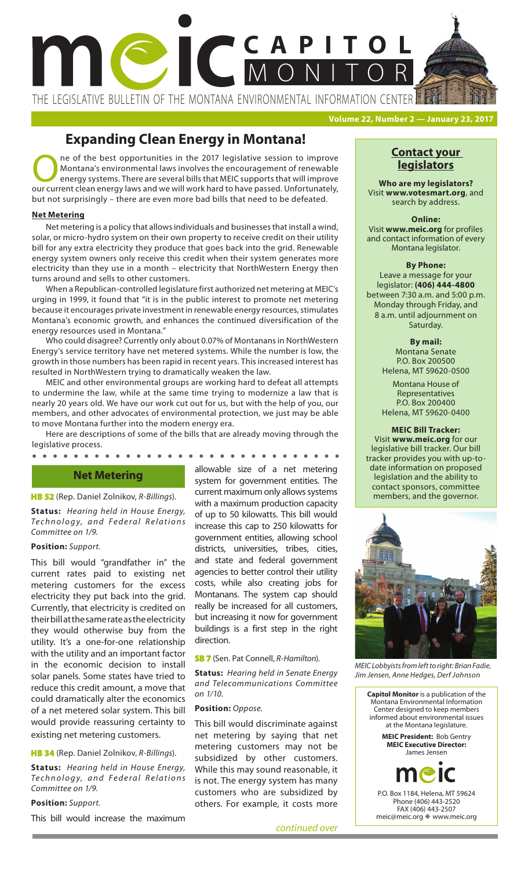# **CAPITOL** MONITOR

THE LEGISLATIVE BULLETIN OF THE MONTANA ENVIRONMENTAL INFORMATION CENTER

**Volume 22, Number 2 — January 23, 2017**

## **Expanding Clean Energy in Montana!**

ne of the best opportunities in the 2017 legislative session to improve Montana's environmental laws involves the encouragement of renewable energy systems. There are several bills that MEIC supports that will improve our current clean energy laws and we will work hard to have passed. Unfortunately, but not surprisingly – there are even more bad bills that need to be defeated.

#### **Net Metering**

Net metering is a policy that allows individuals and businesses that install a wind, solar, or micro-hydro system on their own property to receive credit on their utility bill for any extra electricity they produce that goes back into the grid. Renewable energy system owners only receive this credit when their system generates more electricity than they use in a month – electricity that NorthWestern Energy then turns around and sells to other customers.

When a Republican-controlled legislature first authorized net metering at MEIC's urging in 1999, it found that "it is in the public interest to promote net metering because it encourages private investment in renewable energy resources, stimulates Montana's economic growth, and enhances the continued diversification of the energy resources used in Montana."

Who could disagree? Currently only about 0.07% of Montanans in NorthWestern Energy's service territory have net metered systems. While the number is low, the growth in those numbers has been rapid in recent years. This increased interest has resulted in NorthWestern trying to dramatically weaken the law.

MEIC and other environmental groups are working hard to defeat all attempts to undermine the law, while at the same time trying to modernize a law that is nearly 20 years old. We have our work cut out for us, but with the help of you, our members, and other advocates of environmental protection, we just may be able to move Montana further into the modern energy era.

Here are descriptions of some of the bills that are already moving through the legislative process.

#### $\bullet$

#### **Net Metering**

#### **HB 52** (Rep. Daniel Zolnikov, *R-Billings*).

**Status:** *Hearing held in House Energy,*  **Technology, and Federal Relations** *Committee on 1/9.*

#### **Position:** *Support.*

This bill would "grandfather in" the current rates paid to existing net metering customers for the excess electricity they put back into the grid. Currently, that electricity is credited on their bill at the same rate as the electricity they would otherwise buy from the utility. It's a one-for-one relationship with the utility and an important factor in the economic decision to install solar panels. Some states have tried to reduce this credit amount, a move that could dramatically alter the economics of a net metered solar system. This bill would provide reassuring certainty to existing net metering customers.

#### **HB 34** (Rep. Daniel Zolnikov, *R-Billings*).

**Status:** *Hearing held in House Energy, Te c h n o l o g y, a n d F e d e r a l R e l a t i o n s Committee on 1/9.*

**Position:** *Support.*

This bill would increase the maximum

allowable size of a net metering system for government entities. The current maximum only allows systems with a maximum production capacity of up to 50 kilowatts. This bill would increase this cap to 250 kilowatts for government entities, allowing school districts, universities, tribes, cities, and state and federal government agencies to better control their utility costs, while also creating jobs for Montanans. The system cap should really be increased for all customers, but increasing it now for government buildings is a first step in the right direction.

#### **SB 7** (Sen. Pat Connell, *R-Hamilton*).

**Status:** *Hearing held in Senate Energy and Telecommunications Committee on 1/10.*

#### **Position:** *Oppose.*

This bill would discriminate against net metering by saying that net metering customers may not be subsidized by other customers. While this may sound reasonable, it is not. The energy system has many customers who are subsidized by others. For example, it costs more

#### **Contact your legislators**

**Who are my legislators?**  Visit **www.votesmart.org**, and search by address.

#### **Online:** Visit **www.meic.org** for profiles and contact information of every Montana legislator.

#### **By Phone:**

Leave a message for your legislator: **(406) 444-4800** between 7:30 a.m. and 5:00 p.m. Monday through Friday, and 8 a.m. until adjournment on Saturday.

#### **By mail:**

Montana Senate P.O. Box 200500 Helena, MT 59620-0500

Montana House of Representatives P.O. Box 200400 Helena, MT 59620-0400

#### **MEIC Bill Tracker:**

date information on proposed Visit **www.meic.org** for our legislative bill tracker. Our bill tracker provides you with up-tolegislation and the ability to contact sponsors, committee members, and the governor.



*MEIC Lobbyists from left to right: Brian Fadie, Jim Jensen, Anne Hedges, Derf Johnson*

**Capitol Monitor** is a publication of the Montana Environmental Information Center designed to keep members informed about environmental issues at the Montana legislature. **MEIC President:** Bob Gentry **MEIC Executive Director:**  James Jensen P.O. Box 1184, Helena, MT 59624 Phone (406) 443-2520 FAX (406) 443-2507 meic@meic.org vww.meic.org